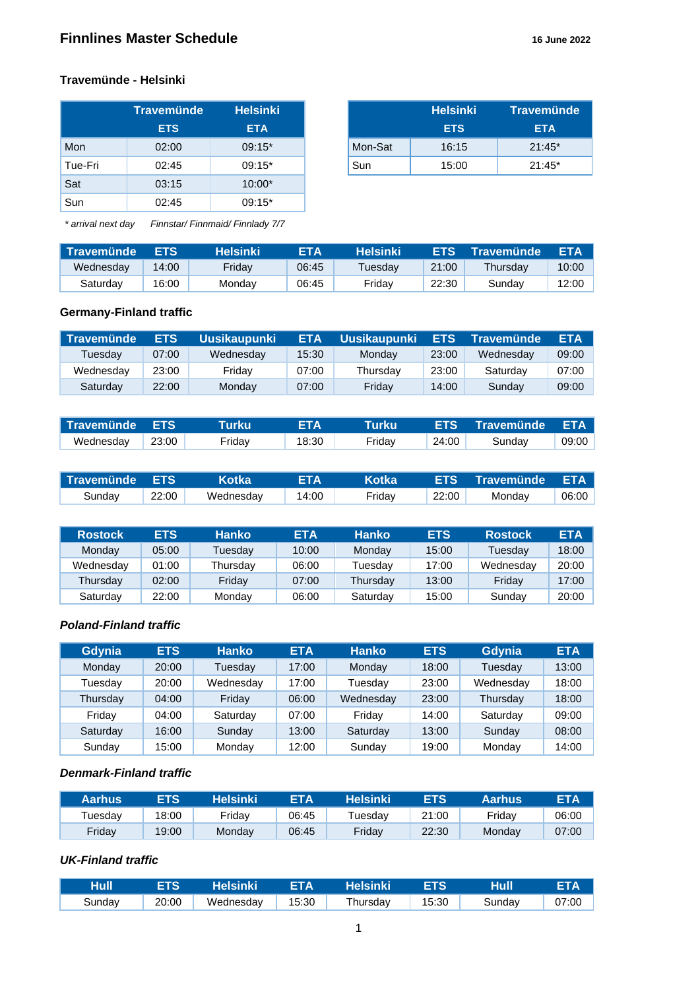#### **Travemünde - Helsinki**

|         | ∣Travemünde <sup>∣</sup> | <b>Helsinki</b> |
|---------|--------------------------|-----------------|
|         | <b>ETS</b>               | <b>ETA</b>      |
| Mon     | 02:00                    | $09:15*$        |
| Tue-Fri | 02:45                    | $09:15*$        |
| Sat     | 03:15                    | $10:00*$        |
| Sun     | 02:45                    | $09:15*$        |

| <b>Travemünde</b> | <b>Helsinki</b> |         | <b>Helsinki</b> | <b>Travemünde</b> |
|-------------------|-----------------|---------|-----------------|-------------------|
| <b>ETS</b>        | <b>ETA</b>      |         | <b>ETS</b>      | <b>ETA</b>        |
| 02:00             | $09:15*$        | Mon-Sat | 16:15           | $21:45*$          |
| 02:45             | $09:15*$        | Sun     | 15:00           | $21:45*$          |

*\* arrival next day Finnstar/ Finnmaid/ Finnlady 7/7*

| Travemünde | <b>ETS</b> | <b>Helsinki</b> ' | ETA   | Helsinki | <b>ETS</b> | <b>Travemünde</b> | <b>ETA</b> |
|------------|------------|-------------------|-------|----------|------------|-------------------|------------|
| Wednesday  | 14:00      | Fridav            | 06:45 | Tuesdav  | 21:00      | Thursdav          | 10:00      |
| Saturday   | 16:00      | Mondav            | 06:45 | Fridav   | 22:30      | Sundav            | 12:00      |

#### **Germany-Finland traffic**

| Travemünde | <b>ETS</b> | <b>Uusikaupunki</b> | <b>ETA</b> | <b>Uusikaupunki</b> | <b>ETS</b> | <b>Travemünde</b> | <b>ETA</b> |
|------------|------------|---------------------|------------|---------------------|------------|-------------------|------------|
| Tuesdav    | 07:00      | Wednesday           | 15:30      | Mondav              | 23:00      | Wednesdav         | 09:00      |
| Wednesday  | 23:00      | Fridav              | 07:00      | Thursdav            | 23:00      | Saturdav          | 07:00      |
| Saturdav   | 22:00      | Mondav              | 07:00      | Friday              | 14:00      | Sundav            | 09:00      |

| l Travemünde l | <b>ETS</b> |        |       | Turku  | <b>ETS</b> | ∟Travemünde <sup>∖</sup> | <b>ETA</b> |
|----------------|------------|--------|-------|--------|------------|--------------------------|------------|
| Wednesday      | 23:00      | Fridav | 18:30 | Fridav | 24:00      | Sundav                   | 09:00      |

| Travemünde ETS |       | <b>Kotka</b> | ETA   | <b>Kotka</b> |       | <b>LETS Travemünde ETA</b> ) |       |
|----------------|-------|--------------|-------|--------------|-------|------------------------------|-------|
| Sunday         | 22:00 | Wednesday    | 14:00 | Fridav       | 22:00 | Mondav                       | 06:00 |

| <b>Rostock</b> | <b>ETS</b> | <b>Hanko</b> | <b>ETA</b> | <b>Hanko</b> | <b>ETS</b> | <b>Rostock</b> | <b>ETA</b> |
|----------------|------------|--------------|------------|--------------|------------|----------------|------------|
| Monday         | 05:00      | ⊺uesdav      | 10:00      | Monday       | 15:00      | Tuesdav        | 18:00      |
| Wednesday      | 01:00      | Thursdav     | 06:00      | Tuesdav      | 17:00      | Wednesday      | 20:00      |
| Thursday       | 02:00      | Fridav       | 07:00      | Thursdav     | 13:00      | Fridav         | 17:00      |
| Saturday       | 22:00      | Monday       | 06:00      | Saturday     | 15:00      | Sundav         | 20:00      |

#### *Poland-Finland traffic*

| Gdynia   | <b>ETS</b> | <b>Hanko</b> | <b>ETA</b> | <b>Hanko</b> | <b>ETS</b> | Gdynia    | <b>ETA</b> |
|----------|------------|--------------|------------|--------------|------------|-----------|------------|
| Monday   | 20:00      | Tuesdav      | 17:00      | Monday       | 18:00      | Tuesday   | 13:00      |
| Tuesdav  | 20:00      | Wednesday    | 17:00      | Tuesdav      | 23:00      | Wednesday | 18:00      |
| Thursday | 04:00      | Friday       | 06:00      | Wednesday    | 23:00      | Thursday  | 18:00      |
| Fridav   | 04:00      | Saturday     | 07:00      | Fridav       | 14:00      | Saturday  | 09:00      |
| Saturday | 16:00      | Sunday       | 13:00      | Saturday     | 13:00      | Sunday    | 08:00      |
| Sunday   | 15:00      | Monday       | 12:00      | Sunday       | 19:00      | Monday    | 14:00      |

#### *Denmark-Finland traffic*

| Aarhus  | <b>ETS</b> | Helsinki | ETA   | Helsinki | <b>ETS</b> | Aarhus | <b>ETA</b> |
|---------|------------|----------|-------|----------|------------|--------|------------|
| Tuesdav | 18:00      | Fridav   | 06:45 | ūesdav   | 21:00      | Friday | 06:00      |
| Friday  | 19:00      | Monday   | 06:45 | Fridav   | 22:30      | Mondav | 07:00      |

## *UK-Finland traffic*

| Hull   | ETS.  | <b>Nelsinki</b> | $=$ $\blacksquare$ $\blacksquare$ $\blacksquare$ $\blacksquare$ $\blacksquare$ $\blacksquare$ $\blacksquare$ $\blacksquare$ $\blacksquare$ $\blacksquare$ $\blacksquare$ $\blacksquare$ $\blacksquare$ $\blacksquare$ $\blacksquare$ $\blacksquare$ $\blacksquare$ $\blacksquare$ $\blacksquare$ $\blacksquare$ $\blacksquare$ $\blacksquare$ $\blacksquare$ $\blacksquare$ $\blacksquare$ $\blacksquare$ $\blacksquare$ $\blacksquare$ $\blacksquare$ $\blacksquare$ $\blacksquare$ | <b>Helsinki</b> | ETS <b>I</b> | Hull   | <b>ETA</b> |
|--------|-------|-----------------|--------------------------------------------------------------------------------------------------------------------------------------------------------------------------------------------------------------------------------------------------------------------------------------------------------------------------------------------------------------------------------------------------------------------------------------------------------------------------------------|-----------------|--------------|--------|------------|
| Sundav | 20:00 | Wednesday       | 15:30                                                                                                                                                                                                                                                                                                                                                                                                                                                                                | Thursday        | 15:30        | Sunday | 07:00      |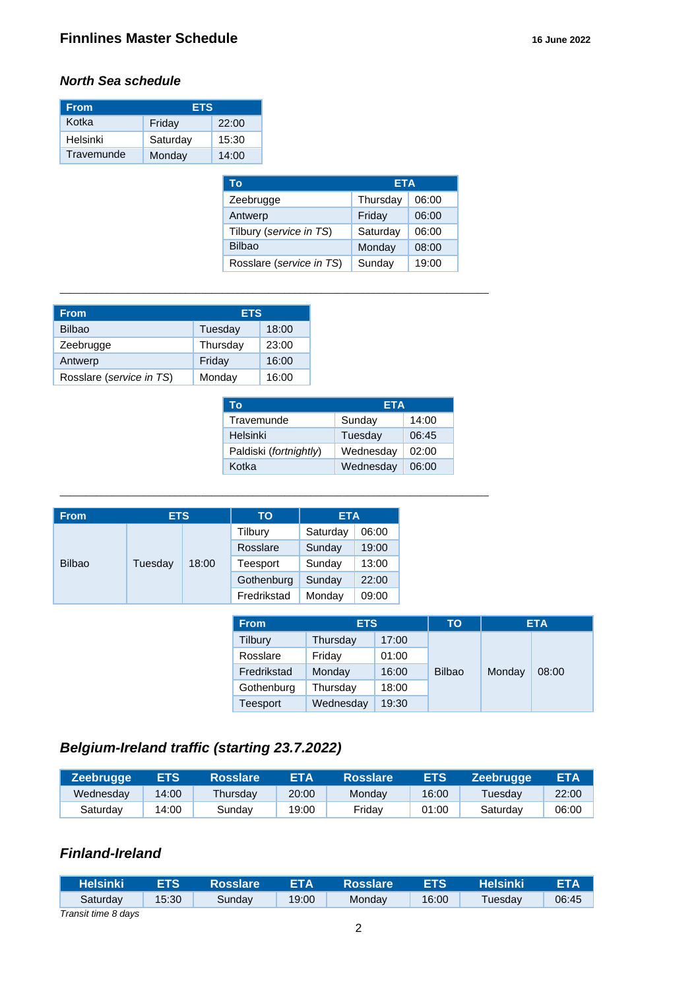#### *North Sea schedule*

| <b>From</b> | <b>ETS</b> |       |  |  |
|-------------|------------|-------|--|--|
| Kotka       | Friday     | 22:00 |  |  |
| Helsinki    | Saturday   | 15:30 |  |  |
| Travemunde  | Monday     | 14:00 |  |  |

| ETA      |       |  |
|----------|-------|--|
| Thursday | 06:00 |  |
| Friday   | 06:00 |  |
| Saturday | 06:00 |  |
| Monday   | 08:00 |  |
| Sunday   | 19:00 |  |
|          |       |  |

\_\_\_\_\_\_\_\_\_\_\_\_\_\_\_\_\_\_\_\_\_\_\_\_\_\_\_\_\_\_\_\_\_\_\_\_\_\_\_\_\_\_\_\_\_\_\_\_\_\_\_\_\_\_\_\_\_\_\_\_\_\_\_\_\_\_\_\_\_\_\_\_\_\_\_\_\_\_\_\_\_\_

\_\_\_\_\_\_\_\_\_\_\_\_\_\_\_\_\_\_\_\_\_\_\_\_\_\_\_\_\_\_\_\_\_\_\_\_\_\_\_\_\_\_\_\_\_\_\_\_\_\_\_\_\_\_\_\_\_\_\_\_\_\_\_\_\_\_\_\_\_\_\_\_\_\_\_\_\_\_\_\_\_\_

| From                     | <b>ETS</b> |       |
|--------------------------|------------|-------|
| <b>Bilbao</b>            | Tuesday    | 18:00 |
| Zeebrugge                | Thursday   | 23:00 |
| Antwerp                  | Friday     | 16:00 |
| Rosslare (service in TS) | Monday     | 16:00 |

| Тο                     | ETA       |       |
|------------------------|-----------|-------|
| Travemunde             | Sunday    | 14:00 |
| Helsinki               | Tuesday   | 06:45 |
| Paldiski (fortnightly) | Wednesday | 02:00 |
| Kotka                  | Wednesday | 06:00 |

| <b>From</b>   | <b>ETS</b> |       | TO          | <b>ETA</b> |       |
|---------------|------------|-------|-------------|------------|-------|
|               |            |       | Tilbury     | Saturday   | 06:00 |
|               |            |       | Rosslare    | Sunday     | 19:00 |
| <b>Bilbao</b> | Tuesday    | 18:00 | Teesport    | Sunday     | 13:00 |
|               |            |       | Gothenburg  | Sunday     | 22:00 |
|               |            |       | Fredrikstad | Monday     | 09:00 |

| <b>From</b> | <b>ETS</b> |       | ΤО            |        | <b>ETA</b> |
|-------------|------------|-------|---------------|--------|------------|
| Tilbury     | Thursday   | 17:00 |               |        |            |
| Rosslare    | Friday     | 01:00 |               |        |            |
| Fredrikstad | Monday     | 16:00 | <b>Bilbao</b> | Monday | 08:00      |
| Gothenburg  | Thursday   | 18:00 |               |        |            |
| Teesport    | Wednesday  | 19:30 |               |        |            |

# *Belgium-Ireland traffic (starting 23.7.2022)*

| <b>Zeebrugge</b> | <b>ETS</b> | <b>Rosslare</b> | ETA   | <b>Rosslare</b> | <b>ETS</b> | <b>Zeebrugge</b> | ETA   |
|------------------|------------|-----------------|-------|-----------------|------------|------------------|-------|
| Wednesday        | 14:00      | Thursdav        | 20:00 | Mondav          | 16:00      | Tuesdav          | 22:00 |
| Saturdav         | 14:00      | Sundav          | 19:00 | Fridav          | 01:00      | Saturdav         | 06:00 |

# *Finland-Ireland*

| <b>Helsinki</b>     | <b>ETS</b> | <b>Rosslare</b> ! | <b>ETA</b> | <b>Rosslare</b> | <b>ETS</b> | <b>Helsinki</b> | <b>ETA</b> |
|---------------------|------------|-------------------|------------|-----------------|------------|-----------------|------------|
| Saturdav            | 15:30      | Sunday            | 19:00      | Mondav          | 16:00      | Tuesday         | 06:45      |
| Transit time 8 days |            |                   |            |                 |            |                 |            |